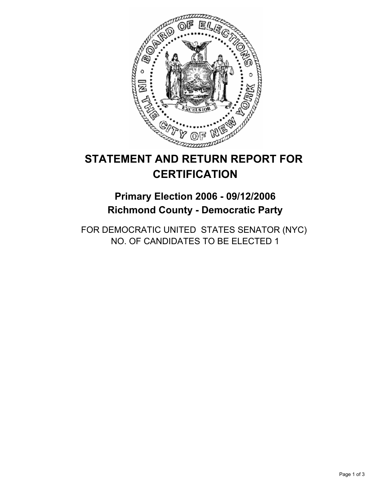

# **STATEMENT AND RETURN REPORT FOR CERTIFICATION**

## **Primary Election 2006 - 09/12/2006 Richmond County - Democratic Party**

FOR DEMOCRATIC UNITED STATES SENATOR (NYC) NO. OF CANDIDATES TO BE ELECTED 1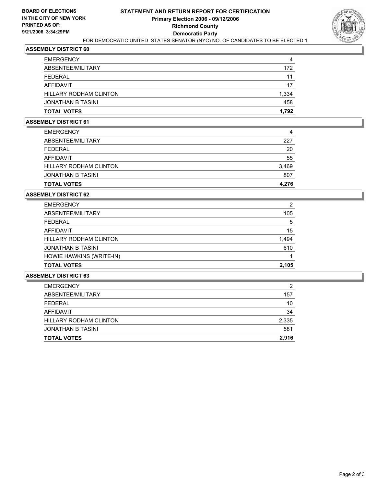

## **ASSEMBLY DISTRICT 60**

| 172   |
|-------|
| 11    |
| 17    |
| 1,334 |
| 458   |
| 1,792 |
|       |

#### **ASSEMBLY DISTRICT 61**

| <b>EMERGENCY</b>              | 4     |
|-------------------------------|-------|
| ABSENTEE/MILITARY             | 227   |
| <b>FEDERAL</b>                | 20    |
| AFFIDAVIT                     | 55    |
| <b>HILLARY RODHAM CLINTON</b> | 3,469 |
| <b>JONATHAN B TASINI</b>      | 807   |
| <b>TOTAL VOTES</b>            | 4,276 |

#### **ASSEMBLY DISTRICT 62**

| <b>EMERGENCY</b>         | າ     |
|--------------------------|-------|
| ABSENTEE/MILITARY        | 105   |
| FEDERAL                  | 5     |
| <b>AFFIDAVIT</b>         | 15    |
| HILLARY RODHAM CLINTON   | 1,494 |
| <b>JONATHAN B TASINI</b> | 610   |
| HOWIE HAWKINS (WRITE-IN) |       |
| <b>TOTAL VOTES</b>       | 2,105 |

#### **ASSEMBLY DISTRICT 63**

| <b>TOTAL VOTES</b>       | 2,916 |
|--------------------------|-------|
| <b>JONATHAN B TASINI</b> | 581   |
| HILLARY RODHAM CLINTON   | 2,335 |
| AFFIDAVIT                | 34    |
| <b>FEDERAL</b>           | 10    |
| ABSENTEE/MILITARY        | 157   |
| <b>EMERGENCY</b>         | ◠     |